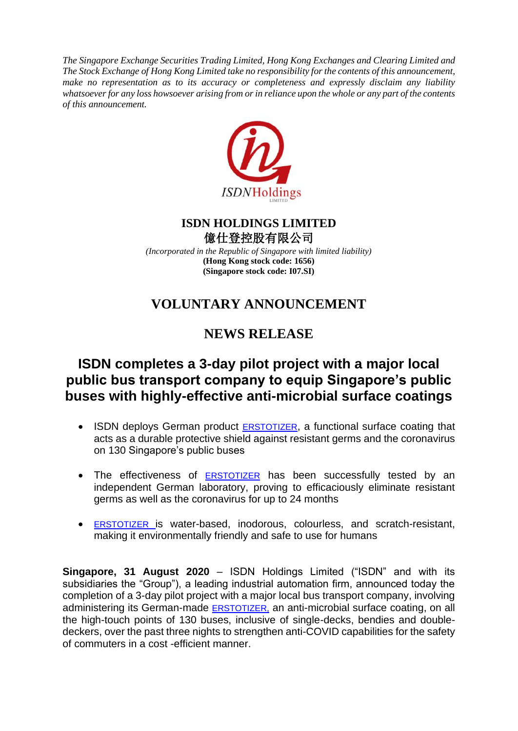*The Singapore Exchange Securities Trading Limited, Hong Kong Exchanges and Clearing Limited and The Stock Exchange of Hong Kong Limited take no responsibility for the contents of this announcement, make no representation as to its accuracy or completeness and expressly disclaim any liability whatsoever for any loss howsoever arising from or in reliance upon the whole or any part of the contents of this announcement.*



#### **ISDN HOLDINGS LIMITED** 億仕登控股有限公司

*(Incorporated in the Republic of Singapore with limited liability)* **(Hong Kong stock code: 1656) (Singapore stock code: I07.SI)**

# **VOLUNTARY ANNOUNCEMENT**

## **NEWS RELEASE**

## **ISDN completes a 3-day pilot project with a major local public bus transport company to equip Singapore's public buses with highly-effective anti-microbial surface coatings**

- ISDN deploys German product [ERSTOTIZER](https://www.dropbox.com/sh/hc4wl64bzb2t3wl/AAAkpW9IKKot9GiuB5qon7ZNa?dl=0), a functional surface coating that acts as a durable protective shield against resistant germs and the coronavirus on 130 Singapore's public buses
- The effectiveness of **[ERSTOTIZER](https://www.dropbox.com/sh/hc4wl64bzb2t3wl/AAAkpW9IKKot9GiuB5qon7ZNa?dl=0)** has been successfully tested by an independent German laboratory, proving to efficaciously eliminate resistant germs as well as the coronavirus for up to 24 months
- [ERSTOTIZER](https://www.dropbox.com/sh/hc4wl64bzb2t3wl/AAAkpW9IKKot9GiuB5qon7ZNa?dl=0) is water-based, inodorous, colourless, and scratch-resistant, making it environmentally friendly and safe to use for humans

**Singapore, 31 August 2020** – ISDN Holdings Limited ("ISDN" and with its subsidiaries the "Group"), a leading industrial automation firm, announced today the completion of a 3-day pilot project with a major local bus transport company, involving administering its German-made **ERSTOTIZER**, an anti-microbial surface coating, on all the high-touch points of 130 buses, inclusive of single-decks, bendies and doubledeckers, over the past three nights to strengthen anti-COVID capabilities for the safety of commuters in a cost -efficient manner.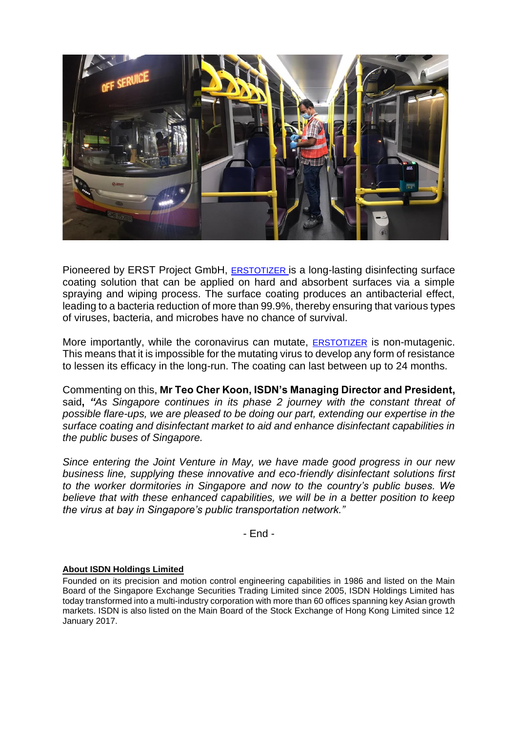

Pioneered by ERST Project GmbH, [ERSTOTIZER](https://www.dropbox.com/sh/hc4wl64bzb2t3wl/AAAkpW9IKKot9GiuB5qon7ZNa?dl=0) is a long-lasting disinfecting surface coating solution that can be applied on hard and absorbent surfaces via a simple spraying and wiping process. The surface coating produces an antibacterial effect, leading to a bacteria reduction of more than 99.9%, thereby ensuring that various types of viruses, bacteria, and microbes have no chance of survival.

More importantly, while the coronavirus can mutate, [ERSTOTIZER](https://www.dropbox.com/sh/hc4wl64bzb2t3wl/AAAkpW9IKKot9GiuB5qon7ZNa?dl=0) is non-mutagenic. This means that it is impossible for the mutating virus to develop any form of resistance to lessen its efficacy in the long-run. The coating can last between up to 24 months.

Commenting on this, **Mr Teo Cher Koon, ISDN's Managing Director and President,**  said**,** *"As Singapore continues in its phase 2 journey with the constant threat of possible flare-ups, we are pleased to be doing our part, extending our expertise in the surface coating and disinfectant market to aid and enhance disinfectant capabilities in the public buses of Singapore.*

*Since entering the Joint Venture in May, we have made good progress in our new business line, supplying these innovative and eco-friendly disinfectant solutions first to the worker dormitories in Singapore and now to the country's public buses. We believe that with these enhanced capabilities, we will be in a better position to keep the virus at bay in Singapore's public transportation network."*

- End -

#### **About ISDN Holdings Limited**

Founded on its precision and motion control engineering capabilities in 1986 and listed on the Main Board of the Singapore Exchange Securities Trading Limited since 2005, ISDN Holdings Limited has today transformed into a multi-industry corporation with more than 60 offices spanning key Asian growth markets. ISDN is also listed on the Main Board of the Stock Exchange of Hong Kong Limited since 12 January 2017.